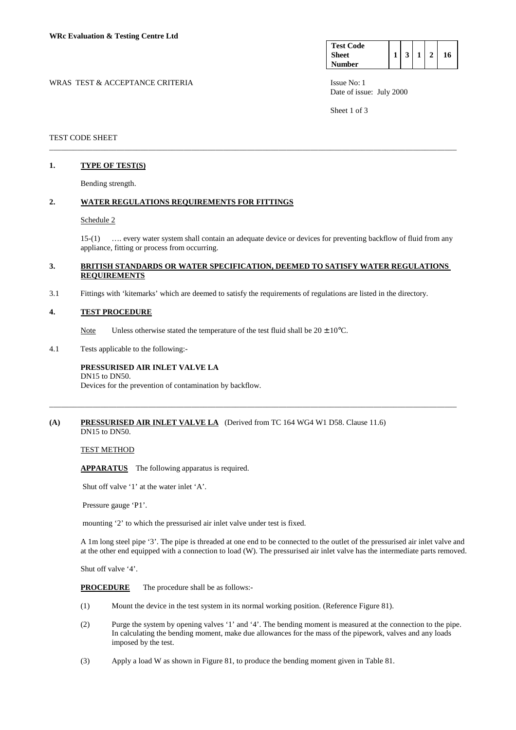| <b>Test Code</b> |  |  |    |
|------------------|--|--|----|
| <b>Sheet</b>     |  |  | 16 |
| <b>Number</b>    |  |  |    |

WRAS TEST & ACCEPTANCE CRITERIA **ISSUE NO:** 1 Date of issue: July 2000

Sheet 1 of 3

## TEST CODE SHEET

## **1. TYPE OF TEST(S)**

Bending strength.

### **2. WATER REGULATIONS REQUIREMENTS FOR FITTINGS**

#### Schedule 2

 15-(1) …. every water system shall contain an adequate device or devices for preventing backflow of fluid from any appliance, fitting or process from occurring.

## **3. BRITISH STANDARDS OR WATER SPECIFICATION, DEEMED TO SATISFY WATER REGULATIONS REQUIREMENTS**

\_\_\_\_\_\_\_\_\_\_\_\_\_\_\_\_\_\_\_\_\_\_\_\_\_\_\_\_\_\_\_\_\_\_\_\_\_\_\_\_\_\_\_\_\_\_\_\_\_\_\_\_\_\_\_\_\_\_\_\_\_\_\_\_\_\_\_\_\_\_\_\_\_\_\_\_\_\_\_\_\_\_\_\_\_\_\_\_\_\_\_\_\_\_\_\_\_\_\_\_\_\_\_

\_\_\_\_\_\_\_\_\_\_\_\_\_\_\_\_\_\_\_\_\_\_\_\_\_\_\_\_\_\_\_\_\_\_\_\_\_\_\_\_\_\_\_\_\_\_\_\_\_\_\_\_\_\_\_\_\_\_\_\_\_\_\_\_\_\_\_\_\_\_\_\_\_\_\_\_\_\_\_\_\_\_\_\_\_\_\_\_\_\_\_\_\_\_\_\_\_\_\_\_\_\_\_

3.1 Fittings with 'kitemarks' which are deemed to satisfy the requirements of regulations are listed in the directory.

#### **4. TEST PROCEDURE**

Note Unless otherwise stated the temperature of the test fluid shall be  $20 \pm 10^{\circ}$ C.

4.1 Tests applicable to the following:-

#### **PRESSURISED AIR INLET VALVE LA**  DN15 to DN50.

Devices for the prevention of contamination by backflow.

#### **(A) PRESSURISED AIR INLET VALVE LA** (Derived from TC 164 WG4 W1 D58. Clause 11.6) DN15 to DN50.

## TEST METHOD

 **APPARATUS** The following apparatus is required.

Shut off valve '1' at the water inlet 'A'.

Pressure gauge 'P1'.

mounting '2' to which the pressurised air inlet valve under test is fixed.

 A 1m long steel pipe '3'. The pipe is threaded at one end to be connected to the outlet of the pressurised air inlet valve and at the other end equipped with a connection to load (W). The pressurised air inlet valve has the intermediate parts removed.

Shut off valve '4'.

 **PROCEDURE** The procedure shall be as follows:-

- (1) Mount the device in the test system in its normal working position. (Reference Figure 81).
- (2) Purge the system by opening valves '1' and '4'. The bending moment is measured at the connection to the pipe. In calculating the bending moment, make due allowances for the mass of the pipework, valves and any loads imposed by the test.
- (3) Apply a load W as shown in Figure 81, to produce the bending moment given in Table 81.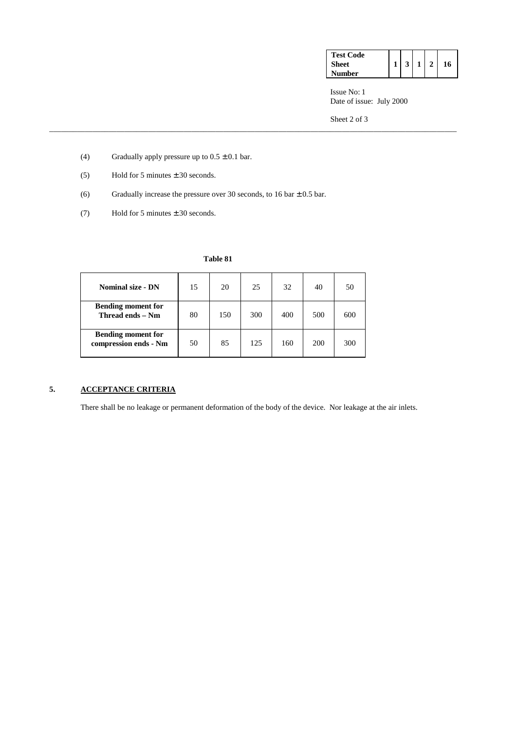| <b>Test Code</b> |  |  |    |
|------------------|--|--|----|
| <b>Sheet</b>     |  |  | 16 |
| <b>Number</b>    |  |  |    |

 Issue No: 1 Date of issue: July 2000

Sheet 2 of 3

- (4) Gradually apply pressure up to  $0.5 \pm 0.1$  bar.
- (5) Hold for 5 minutes  $\pm$  30 seconds.
- (6) Gradually increase the pressure over 30 seconds, to 16 bar  $\pm$  0.5 bar.
- (7) Hold for 5 minutes  $\pm$  30 seconds.

| <b>Nominal size - DN</b>                           | 15 | 20  | 25  | 32  | 40  | 50  |
|----------------------------------------------------|----|-----|-----|-----|-----|-----|
| <b>Bending moment for</b><br>Thread ends - Nm      | 80 | 150 | 300 | 400 | 500 | 600 |
| <b>Bending moment for</b><br>compression ends - Nm | 50 | 85  | 125 | 160 | 200 | 300 |

# **5. ACCEPTANCE CRITERIA**

There shall be no leakage or permanent deformation of the body of the device. Nor leakage at the air inlets.

\_\_\_\_\_\_\_\_\_\_\_\_\_\_\_\_\_\_\_\_\_\_\_\_\_\_\_\_\_\_\_\_\_\_\_\_\_\_\_\_\_\_\_\_\_\_\_\_\_\_\_\_\_\_\_\_\_\_\_\_\_\_\_\_\_\_\_\_\_\_\_\_\_\_\_\_\_\_\_\_\_\_\_\_\_\_\_\_\_\_\_\_\_\_\_\_\_\_\_\_\_\_\_

# **Table 81**